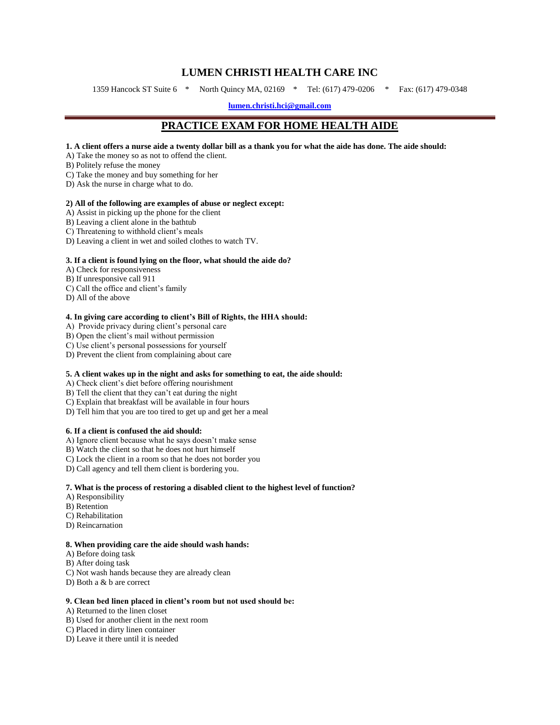# **LUMEN CHRISTI HEALTH CARE INC**

1359 Hancock ST Suite 6 \* North Quincy MA, 02169 \* Tel: (617) 479-0206 \* Fax: (617) 479-0348

**[lumen.christi.hci@gmail.com](mailto:lumenchristihomecare@gmail.com)**

# **PRACTICE EXAM FOR HOME HEALTH AIDE**

#### **1. A client offers a nurse aide a twenty dollar bill as a thank you for what the aide has done. The aide should:**

A) Take the money so as not to offend the client.

B) Politely refuse the money

- C) Take the money and buy something for her
- D) Ask the nurse in charge what to do.

#### **2) All of the following are examples of abuse or neglect except:**

- A) Assist in picking up the phone for the client
- B) Leaving a client alone in the bathtub
- C) Threatening to withhold client's meals
- D) Leaving a client in wet and soiled clothes to watch TV.

#### **3. If a client is found lying on the floor, what should the aide do?**

- A) Check for responsiveness
- B) If unresponsive call 911
- C) Call the office and client's family
- D) All of the above

# **4. In giving care according to client's Bill of Rights, the HHA should:**

- A) Provide privacy during client's personal care
- B) Open the client's mail without permission
- C) Use client's personal possessions for yourself
- D) Prevent the client from complaining about care

#### **5. A client wakes up in the night and asks for something to eat, the aide should:**

A) Check client's diet before offering nourishment

B) Tell the client that they can't eat during the night

- C) Explain that breakfast will be available in four hours
- D) Tell him that you are too tired to get up and get her a meal

## **6. If a client is confused the aid should:**

- A) Ignore client because what he says doesn't make sense
- B) Watch the client so that he does not hurt himself
- C) Lock the client in a room so that he does not border you
- D) Call agency and tell them client is bordering you.

#### **7. What is the process of restoring a disabled client to the highest level of function?**

- A) Responsibility
- B) Retention
- C) Rehabilitation
- D) Reincarnation

#### **8. When providing care the aide should wash hands:**

- A) Before doing task
- B) After doing task
- C) Not wash hands because they are already clean
- D) Both a & b are correct

#### **9. Clean bed linen placed in client's room but not used should be:**

- A) Returned to the linen closet
- B) Used for another client in the next room
- C) Placed in dirty linen container
- D) Leave it there until it is needed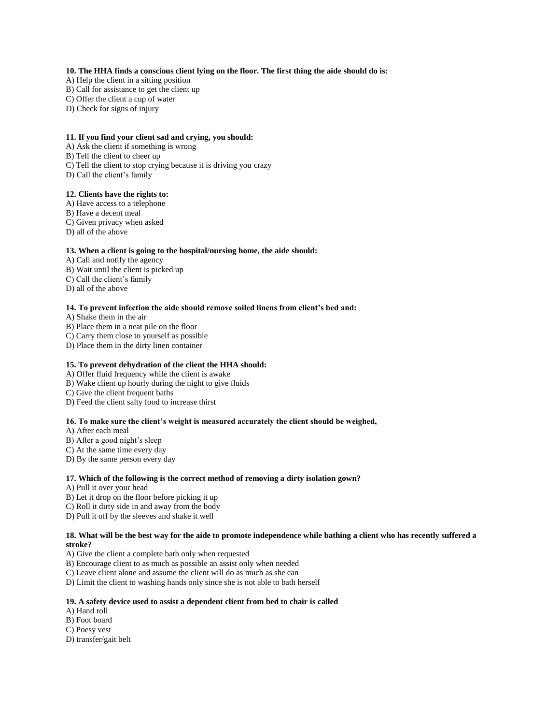#### **10. The HHA finds a conscious client lying on the floor. The first thing the aide should do is:**

- A) Help the client in a sitting position
- B) Call for assistance to get the client up
- C) Offer the client a cup of water
- D) Check for signs of injury

#### **11. If you find your client sad and crying, you should:**

- A) Ask the client if something is wrong
- B) Tell the client to cheer up
- C) Tell the client to stop crying because it is driving you crazy
- D) Call the client's family

# **12. Clients have the rights to:**

- A) Have access to a telephone
- B) Have a decent meal
- C) Given privacy when asked
- D) all of the above

#### **13. When a client is going to the hospital/nursing home, the aide should:**

- A) Call and notify the agency
- B) Wait until the client is picked up
- C) Call the client's family
- D) all of the above

## **14. To prevent infection the aide should remove soiled linens from client's bed and:**

A) Shake them in the air

- B) Place them in a neat pile on the floor
- C) Carry them close to yourself as possible
- D) Place them in the dirty linen container

## **15. To prevent dehydration of the client the HHA should:**

- A) Offer fluid frequency while the client is awake
- B) Wake client up hourly during the night to give fluids
- C) Give the client frequent baths
- D) Feed the client salty food to increase thirst

#### **16. To make sure the client's weight is measured accurately the client should be weighed,**

A) After each meal

- B) After a good night's sleep
- C) At the same time every day
- D) By the same person every day

#### **17. Which of the following is the correct method of removing a dirty isolation gown?**

- A) Pull it over your head
- B) Let it drop on the floor before picking it up
- C) Roll it dirty side in and away from the body
- D) Pull it off by the sleeves and shake it well

### **18. What will be the best way for the aide to promote independence while bathing a client who has recently suffered a stroke?**

- A) Give the client a complete bath only when requested
- B) Encourage client to as much as possible an assist only when needed
- C) Leave client alone and assume the client will do as much as she can
- D) Limit the client to washing hands only since she is not able to bath herself

#### **19. A safety device used to assist a dependent client from bed to chair is called**

- A) Hand roll
- B) Foot board
- C) Poesy vest
- D) transfer/gait belt